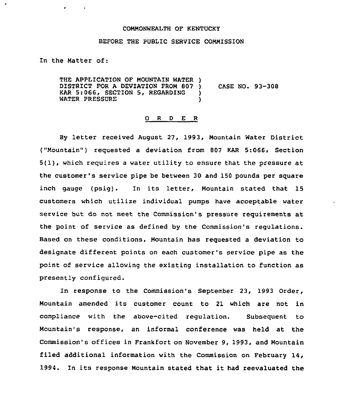## COMMONWEALTH OF KENTUCKY

## BEFORE THE PUBLIC SERVICE COMMISSION

In the Matter of:

THE APPLICATION OF MOUNTAIN WATER ) DISTRICT FOR A DEVIATION FROM 807 ) CASE NO. 93-308<br>KAR 5:066, SECTION 5, REGARDING ) KAR 5:066, SECTION 5, REGARDING ) WATER PRESSURE

## 0 R <sup>D</sup> E R

By letter received August 27, 1993, Mountain Water District ("Mountain") requested a deviation from 807 KAR 5:066, Section 5(1), which requires <sup>a</sup> water utility to ensure that the pressure at the customer's service pipe be between 30 and 150 pounds per square inch gauge (psig). In its letter, Mountain stated that 15 customers which utilize individual pumps have acceptable water service but do not meet the Commission's pressure requirements at the point of service as defined by the Commission's regulations. Based on these conditions, Mountain has requested a deviation to designate different points on each customer's service pipe as the point of service allowing the existing installation to function as presently configured.

In response to the Commission's September 23, 1993 Order, Mountain amended its customer count to <sup>21</sup> which are not in compliance with the above-cited regulation. Subsequent to Mountain's response, an informal conference was held at the Commission's offices in Frankfort on November 9, 1993, and Mountain filed additional information with the Commission on February 14, 1994. In its response Mountain stated that it had reevaluated the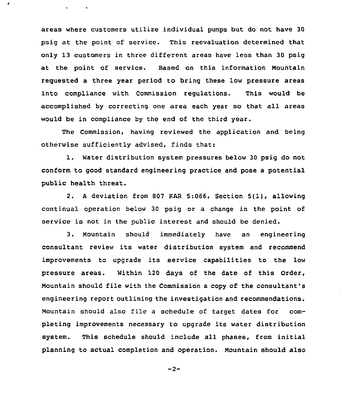areas where customers utilize individual pumps but do not have 30 psig at the point of service. This reevaluation determined that only 13 customers in three different areas have less than 30 psig at the point of service. Based on this information Mountain requested a three year period to bring these low pressure areas into compliance with Commission regulations. This would be accomplished by correcting one area each year so that all areas would be in compliance by the end of the third year.

 $\bullet$ 

 $\mathbf{v} = \mathbf{v} \times \mathbf{v}$  .

The Commission, having reviewed the application and being otherwise sufficiently advised, finds that:

1. Water distribution system pressures below <sup>30</sup> psig do not conform to good standard engineering practice and pose a potential public health threat.

2. A deviation from 807 KAR 5:066, Section 5(1), allowing continual operation below 30 psig or a change in the point of service is not in the public interest and should be denied.

3. Mountain should immediately have an engineering consultant review its water distribution system and recommend improvements to upgrade its service capabilities to the low pressure areas. Within 120 days of the date of this Order, Mountain should file with the Commission a copy of the consultant's engineering report outlining the investigation and recommendations. Mountain should also file a schedule of target dates for completing improvements necessary to upgrade its water distribution system. This schedule should include all phases, from initial planning to actual completion and operation. Mountain should also

```
-2-
```